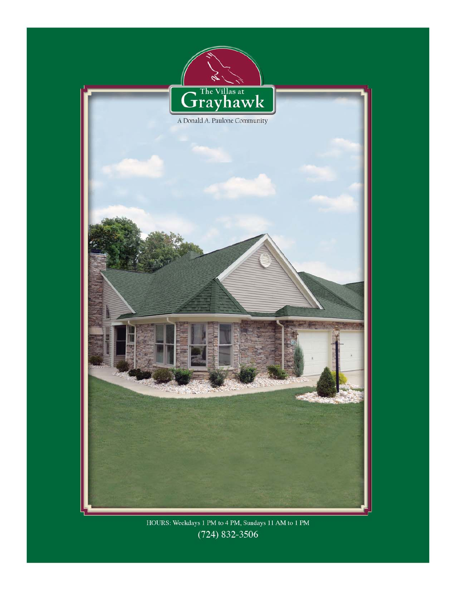

HOURS: Weekdays 1 PM to 4 PM, Sundays 11 AM to 1 PM  $(724) 832 - 3506$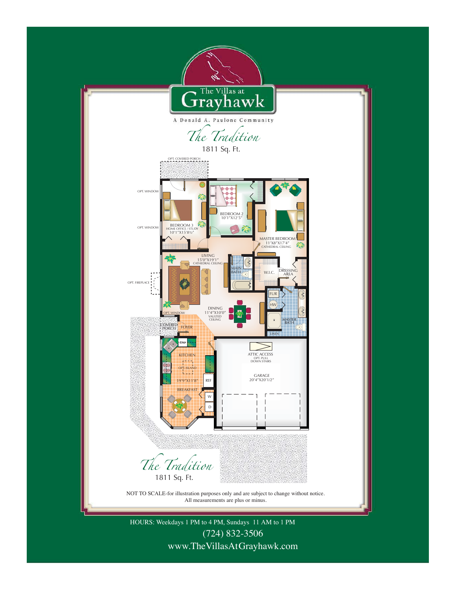

www.TheVillasAt Grayhawk.com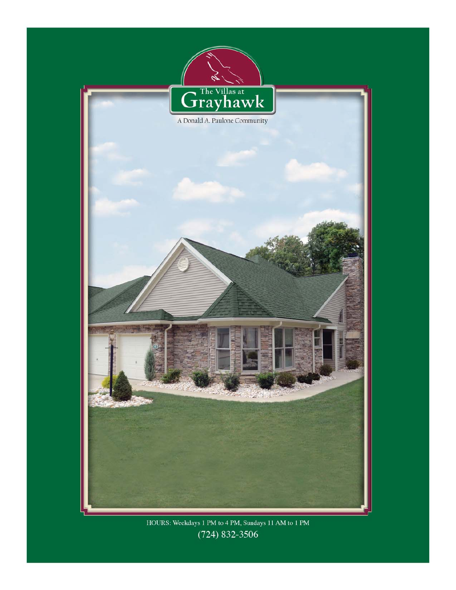

HOURS: Weekdays 1 PM to 4 PM, Sundays 11 AM to 1 PM  $(724) 832 - 3506$